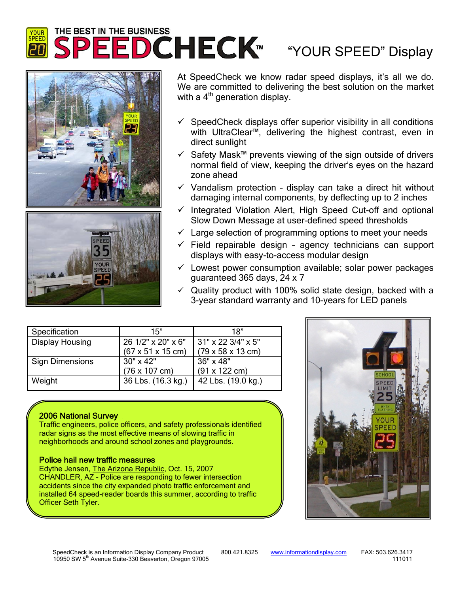# **YOUR** 5

## "YOUR SPEED" Display





At SpeedCheck we know radar speed displays, it's all we do. We are committed to delivering the best solution on the market with a  $4<sup>th</sup>$  generation display.

- $\checkmark$  SpeedCheck displays offer superior visibility in all conditions with UltraClear™, delivering the highest contrast, even in direct sunlight
- 9 Safety Mask™ prevents viewing of the sign outside of drivers normal field of view, keeping the driver's eyes on the hazard zone ahead
- $\checkmark$  Vandalism protection display can take a direct hit without damaging internal components, by deflecting up to 2 inches
- $\checkmark$  Integrated Violation Alert, High Speed Cut-off and optional Slow Down Message at user-defined speed thresholds
- $\checkmark$  Large selection of programming options to meet your needs
- $\checkmark$  Field repairable design agency technicians can support displays with easy-to-access modular design
- $\checkmark$  Lowest power consumption available; solar power packages guaranteed 365 days, 24 x 7
- $\checkmark$  Quality product with 100% solid state design, backed with a 3-year standard warranty and 10-years for LED panels

| Specification          | 15"                                   | 18"                                   |
|------------------------|---------------------------------------|---------------------------------------|
| <b>Display Housing</b> | 26 1/2" x 20" x 6"                    | 31" x 22 3/4" x 5"                    |
|                        | $(67 \times 51 \times 15 \text{ cm})$ | $(79 \times 58 \times 13 \text{ cm})$ |
| Sign Dimensions        | $30'' \times 42''$                    | 36" x 48"                             |
|                        | $(76 \times 107 \text{ cm})$          | $(91 \times 122 \text{ cm})$          |
| Weight                 | 36 Lbs. (16.3 kg.)                    | 42 Lbs. (19.0 kg.)                    |

### 2006 National Survey

Traffic engineers, police officers, and safety professionals identified radar signs as the most effective means of slowing traffic in neighborhoods and around school zones and playgrounds.

#### Police hail new traffic measures

Edythe Jensen, The Arizona Republic, Oct. 15, 2007 CHANDLER, AZ - Police are responding to fewer intersection accidents since the city expanded photo traffic enforcement and installed 64 speed-reader boards this summer, according to traffic Officer Seth Tyler.